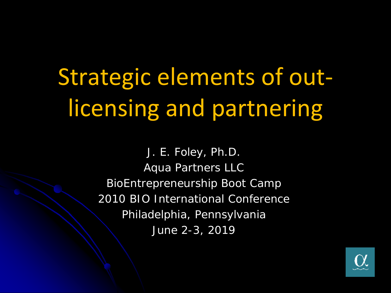# Strategic elements of outlicensing and partnering

J. E. Foley, Ph.D. Aqua Partners LLC BioEntrepreneurship Boot Camp 2010 BIO International Conference Philadelphia, Pennsylvania June 2-3, 2019

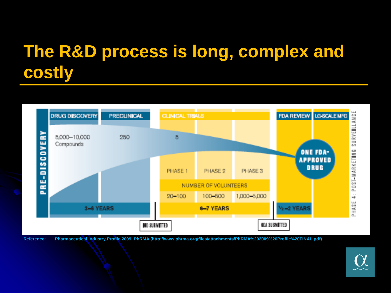# **The R&D process is long, complex and costly**



**Reference: Pharmaceutical Industry Profile 2009, PhRMA (http://www.phrma.org/files/attachments/PhRMA%202009%20Profile%20FINAL.pdf)**

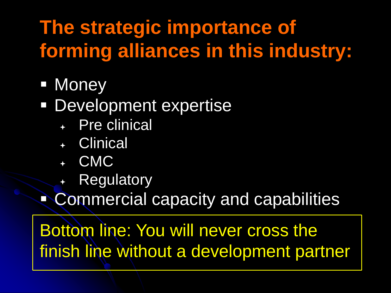# **The strategic importance of forming alliances in this industry:**

**• Money** 

### **Development expertise**

- + Pre clinical
- Clinical
- + CMC
- Regulatory

Commercial capacity and capabilities

Bottom line: You will never cross the finish line without a development partner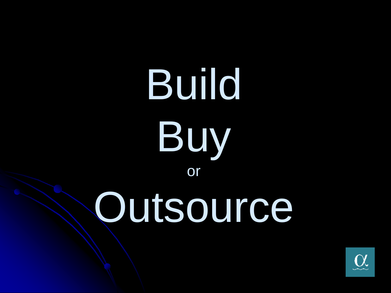Build Buy or Outsource

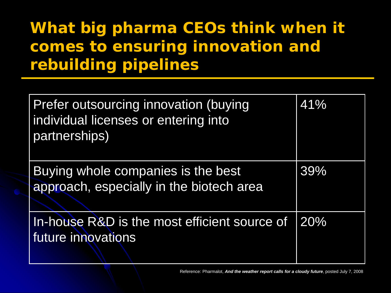### **What big pharma CEOs think when it comes to ensuring innovation and rebuilding pipelines**

| Prefer outsourcing innovation (buying<br>individual licenses or entering into<br>partnerships) | 41% |
|------------------------------------------------------------------------------------------------|-----|
| Buying whole companies is the best<br>approach, especially in the biotech area                 | 39% |
| In-house R&D is the most efficient source of<br>future innovations                             | 20% |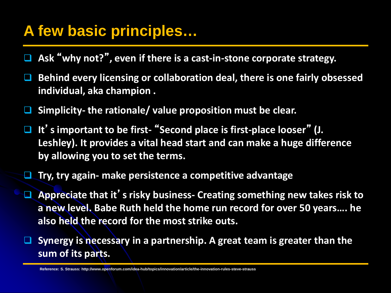### **A few basic principles…**

- **Ask** "**why not?**"**, even if there is a cast-in-stone corporate strategy.**
- **Behind every licensing or collaboration deal, there is one fairly obsessed individual, aka champion .**
- **Simplicity- the rationale/ value proposition must be clear.**
- **It**'**s important to be first-** "**Second place is first-place looser**" **(J. Leshley). It provides a vital head start and can make a huge difference by allowing you to set the terms.**
- **Try, try again- make persistence a competitive advantage**
- **Appreciate that it**'**s risky business- Creating something new takes risk to a new level. Babe Ruth held the home run record for over 50 years…. he also held the record for the most strike outs.**
- Synergy is necessary in a partnership. A great team is greater than the **sum of its parts.**

**Reference: S. Strauss: http://www.openforum.com/idea-hub/topics/innovation/article/the-innovation-rules-steve-strauss**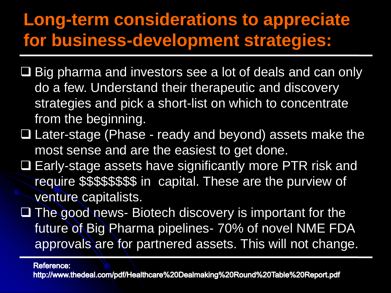### **Long-term considerations to appreciate for business-development strategies:**

- Big pharma and investors see a lot of deals and can only do a few. Understand their therapeutic and discovery strategies and pick a short-list on which to concentrate from the beginning.
- Later-stage (Phase ready and beyond) assets make the most sense and are the easiest to get done.
- Early-stage assets have significantly more PTR risk and require \$\$\$\$\$\$\$\$ in capital. These are the purview of venture capitalists.
- $\Box$  The good news- Biotech discovery is important for the future of Big Pharma pipelines- 70% of novel NME FDA approvals are for partnered assets. This will not change.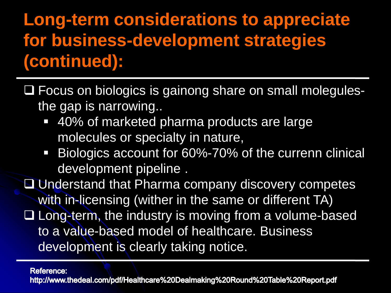### **Long-term considerations to appreciate for business-development strategies (continued):**

- Focus on biologics is gainong share on small molegulesthe gap is narrowing..
	- **40% of marketed pharma products are large** molecules or specialty in nature,
	- Biologics account for 60%-70% of the currenn clinical development pipeline .
- **El Understand that Pharma company discovery competes** with in-licensing (wither in the same or different TA) □ Long-term, the industry is moving from a volume-based to a value-based model of healthcare. Business development is clearly taking notice.

**Reference:** 

http://www.thedeal.com/pdf/Healthcare%20Dealmaking%20Round%20Table%20Report.pdf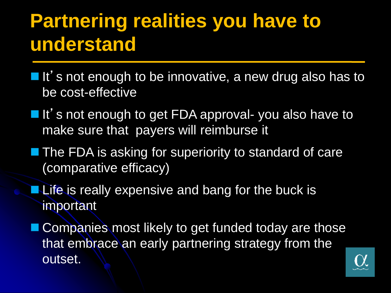# **Partnering realities you have to understand**

- $\blacksquare$  It's not enough to be innovative, a new drug also has to be cost-effective
- $\blacksquare$  It's not enough to get FDA approval- you also have to make sure that payers will reimburse it
- The FDA is asking for superiority to standard of care (comparative efficacy)
- **Life is really expensive and bang for the buck is** important
- Companies most likely to get funded today are those that embrace an early partnering strategy from the outset.

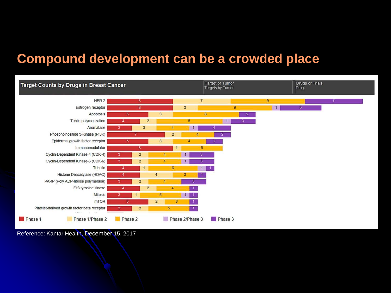#### **Compound development can be a crowded place**



Reference: Kantar Health, December 15, 2017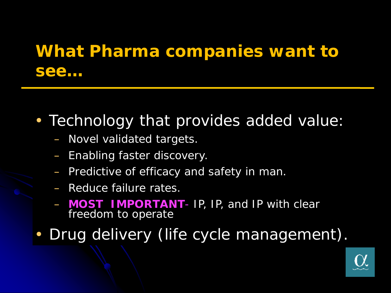### **What Pharma companies want to see…**

- Technology that provides added value:
	- Novel validated targets.
	- Enabling faster discovery.
	- Predictive of efficacy and safety in man.
	- Reduce failure rates.
	- **MOST IMPORTANT** IP, IP, and IP with clear freedom to operate
- Drug delivery (life cycle management).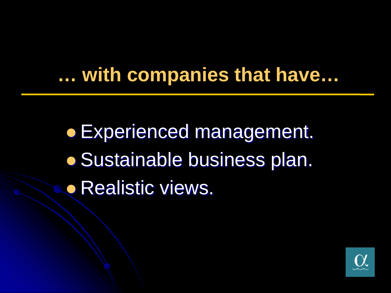### **… with companies that have…**

**• Experienced management. • Sustainable business plan. • Realistic views.** 

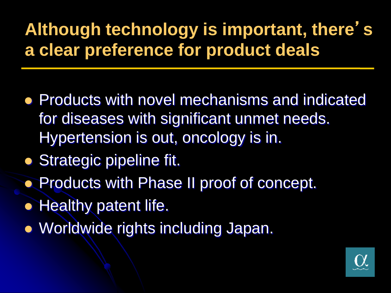# **Although technology is important, there**'**s a clear preference for product deals**

- **Products with novel mechanisms and indicated** for diseases with significant unmet needs. Hypertension is out, oncology is in.
- **Strategic pipeline fit.**
- Products with Phase II proof of concept.
- Healthy patent life.
- Worldwide rights including Japan.

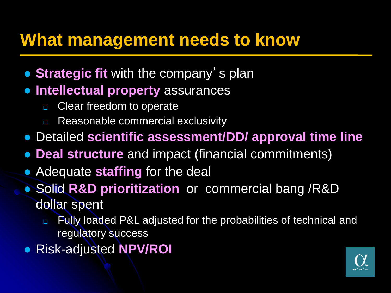### **What management needs to know**

- **Strategic fit** with the company's plan
- **Intellectual property** assurances
	- **Clear freedom to operate**
	- □ Reasonable commercial exclusivity
- Detailed **scientific assessment/DD/ approval time line**
- **Deal structure** and impact (financial commitments)
- **Adequate staffing for the deal**
- Solid **R&D prioritization** or commercial bang /R&D dollar spent
	- □ Fully loaded P&L adjusted for the probabilities of technical and regulatory success
- Risk-adjusted **NPV/ROI**

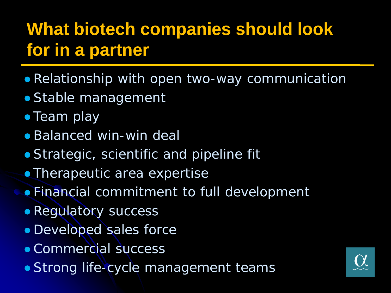## **What biotech companies should look for in a partner**

- Relationship with open two-way communication
- Stable management
- **Team play**
- Balanced win-win deal
- Strategic, scientific and pipeline fit
- Therapeutic area expertise
- Financial commitment to full development
- Regulatory success
- Developed sales force
- ●Commercial success
- Strong life-cycle management teams

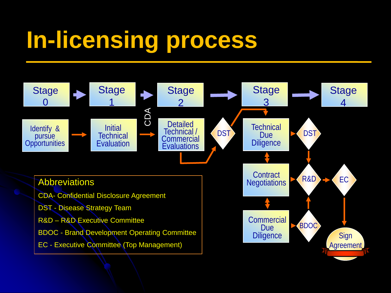# **In-licensing process**

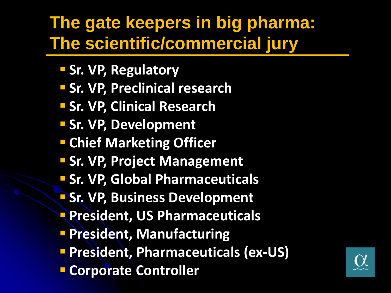### **The gate keepers in big pharma: The scientific/commercial jury**

- **Sr. VP, Regulatory**
- **Sr. VP, Preclinical research**
- **Sr. VP, Clinical Research**
- **Sr. VP, Development**
- **Chief Marketing Officer**
- **Sr. VP, Project Management**
- **Sr. VP, Global Pharmaceuticals**
- **Sr. VP, Business Development**
- **President, US Pharmaceuticals**
- **President, Manufacturing**
- **President, Pharmaceuticals (ex-US)**
- **E** Corporate Controller

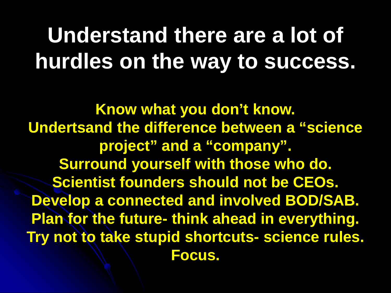# **Understand there are a lot of hurdles on the way to success.**

**Know what you don't know. Undertsand the difference between a "science project" and a "company". Surround yourself with those who do. Scientist founders should not be CEOs. Develop a connected and involved BOD/SAB. Plan for the future- think ahead in everything. Try not to take stupid shortcuts- science rules. Focus.**